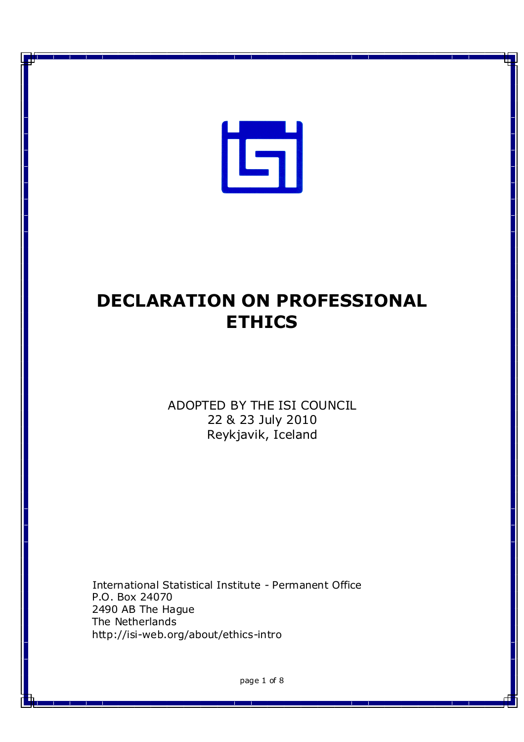

# **DECLARATION ON PROFESSIONAL ETHICS**

ADOPTED BY THE ISI COUNCIL 22 & 23 July 2010 Reykjavik, Iceland

International Statistical Institute - Permanent Office P.O. Box 24070 2490 AB The Hague The Netherlands http://isi-web.org/about/ethics-intro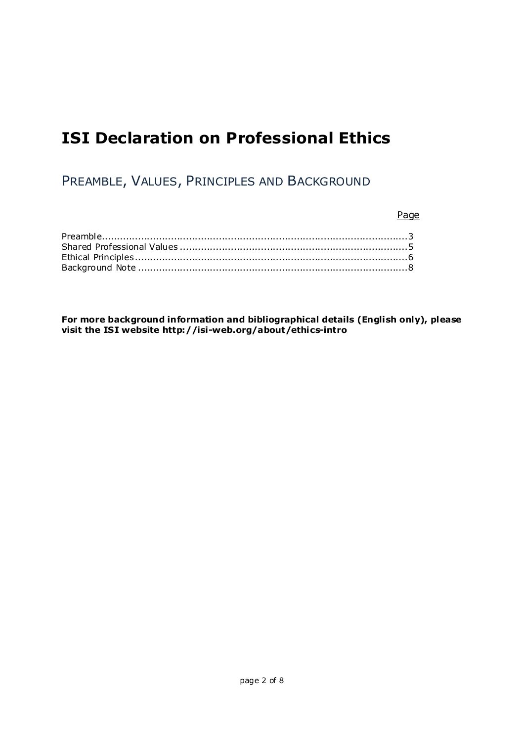## **ISI Declaration on Professional Ethics**

PREAMBLE, VALUES, PRINCIPLES AND BACKGROUND

Page

**For more background information and bibliographical details (English only), please visit the ISI website http://isi-web.org/about/ethics-intro**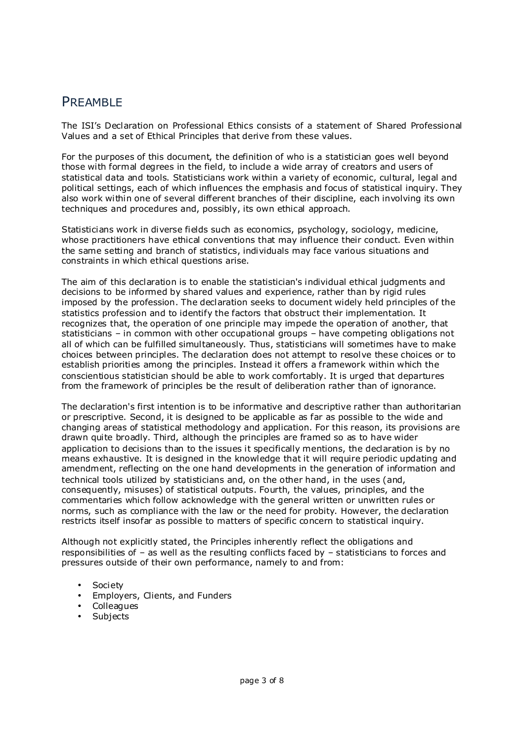### PREAMBLE

The ISI's Declaration on Professional Ethics consists of a statement of Shared Professional Values and a set of Ethical Principles that derive from these values.

For the purposes of this document, the definition of who is a statistician goes well beyond those with formal degrees in the field, to include a wide array of creators and users of statistical data and tools. Statisticians work within a variety of economic, cultural, legal and political settings, each of which influences the emphasis and focus of statistical inquiry. They also work within one of several different branches of their discipline, each involving its own techniques and procedures and, possibly, its own ethical approach.

Statisticians work in diverse fields such as economics, psychology, sociology, medicine, whose practitioners have ethical conventions that may influence their conduct. Even within the same setting and branch of statistics, individuals may face various situations and constraints in which ethical questions arise.

The aim of this declaration is to enable the statistician's individual ethical judgments and decisions to be informed by shared values and experience, rather than by rigid rules imposed by the profession. The declaration seeks to document widely held principles of the statistics profession and to identify the factors that obstruct their implementation. It recognizes that, the operation of one principle may impede the operation of another, that statisticians – in common with other occupational groups – have competing obligations not all of which can be fulfilled simultaneously. Thus, statisticians will sometimes have to make choices between principles. The declaration does not attempt to resolve these choices or to establish priorities among the principles. Instead it offers a framework within which the conscientious statistician should be able to work comfortably. It is urged that departures from the framework of principles be the result of deliberation rather than of ignorance.

The declaration's first intention is to be informative and descriptive rather than authoritarian or prescriptive. Second, it is designed to be applicable as far as possible to the wide and changing areas of statistical methodology and application. For this reason, its provisions are drawn quite broadly. Third, although the principles are framed so as to have wider application to decisions than to the issues it specifically mentions, the declaration is by no means exhaustive. It is designed in the knowledge that it will require periodic updating and amendment, reflecting on the one hand developments in the generation of information and technical tools utilized by statisticians and, on the other hand, in the uses (and, consequently, misuses) of statistical outputs. Fourth, the values, principles, and the commentaries which follow acknowledge with the general written or unwritten rules or norms, such as compliance with the law or the need for probity. However, the declaration restricts itself insofar as possible to matters of specific concern to statistical inquiry.

Although not explicitly stated, the Principles inherently reflect the obligations and responsibilities of – as well as the resulting conflicts faced by – statisticians to forces and pressures outside of their own performance, namely to and from:

- Society
- Employers, Clients, and Funders
- **Colleagues**
- **Subjects**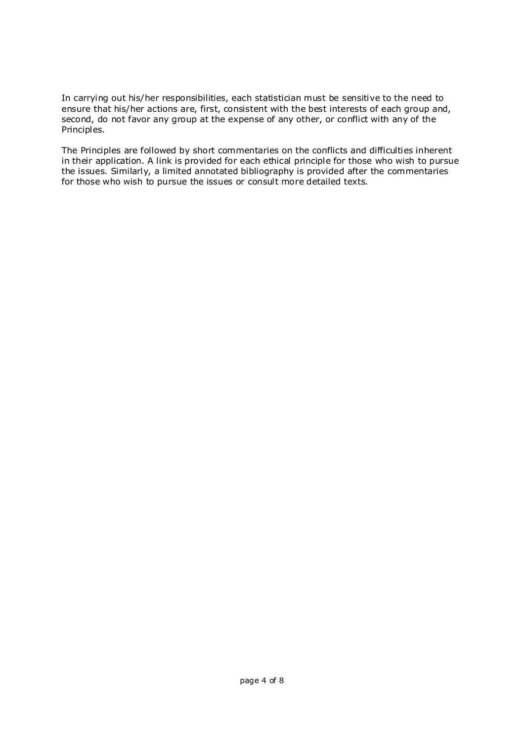In carrying out his/her responsibilities, each statistician must be sensitive to the need to ensure that his/her actions are, first, consistent with the best interests of each group and, second, do not favor any group at the expense of any other, or conflict with any of the Principles.

The Principles are followed by short commentaries on the conflicts and difficulties inherent in their application. A link is provided for each ethical principle for those who wish to pursue the issues. Similarly, a limited annotated bibliography is provided after the commentaries for those who wish to pursue the issues or consult more detailed texts.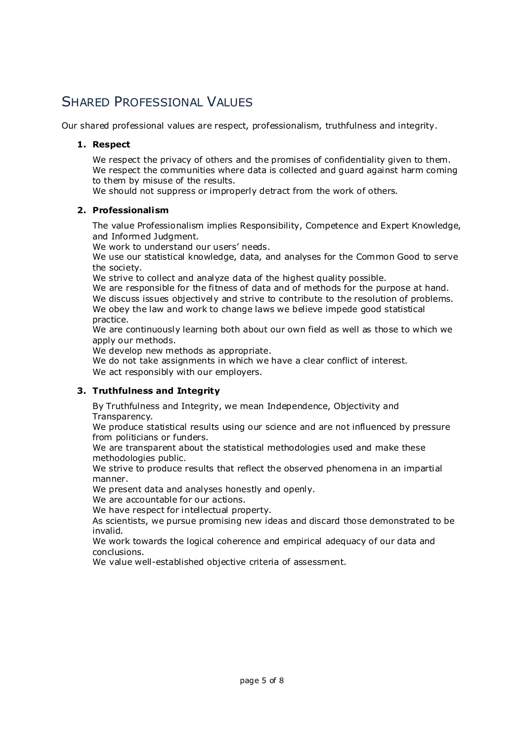### SHARED PROFESSIONAL VALUES

Our shared professional values are respect, professionalism, truthfulness and integrity.

#### **1. Respect**

We respect the privacy of others and the promises of confidentiality given to them. We respect the communities where data is collected and guard against harm coming to them by misuse of the results.

We should not suppress or improperly detract from the work of others.

#### **2. Professionalism**

The value Professionalism implies Responsibility, Competence and Expert Knowledge, and Informed Judgment.

We work to understand our users' needs.

We use our statistical knowledge, data, and analyses for the Common Good to serve the society.

We strive to collect and analyze data of the highest quality possible.

We are responsible for the fitness of data and of methods for the purpose at hand. We discuss issues objectively and strive to contribute to the resolution of problems. We obey the law and work to change laws we believe impede good statistical practice.

We are continuously learning both about our own field as well as those to which we apply our methods.

We develop new methods as appropriate.

We do not take assignments in which we have a clear conflict of interest. We act responsibly with our employers.

#### **3. Truthfulness and Integrity**

By Truthfulness and Integrity, we mean Independence, Objectivity and Transparency.

We produce statistical results using our science and are not influenced by pressure from politicians or funders.

We are transparent about the statistical methodologies used and make these methodologies public.

We strive to produce results that reflect the observed phenomena in an impartial manner.

We present data and analyses honestly and openly.

We are accountable for our actions.

We have respect for intellectual property.

As scientists, we pursue promising new ideas and discard those demonstrated to be invalid.

We work towards the logical coherence and empirical adequacy of our data and conclusions.

We value well-established objective criteria of assessment.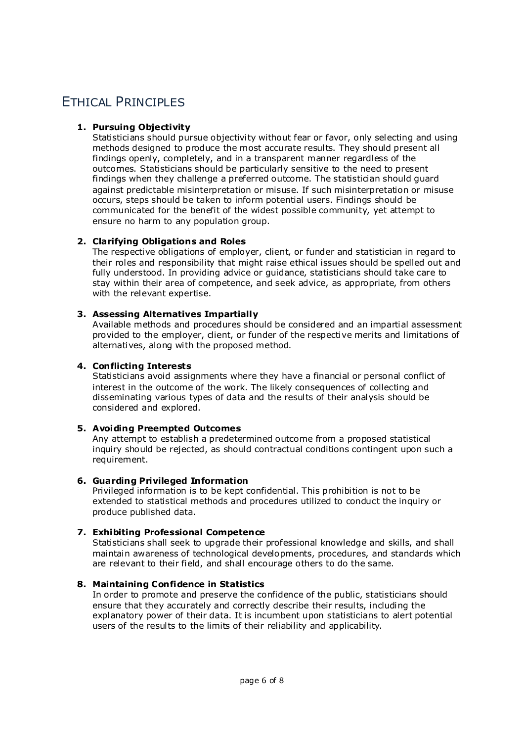### **ETHICAL PRINCIPLES**

#### **1. Pursuing Objectivity**

Statisticians should pursue objectivity without fear or favor, only selecting and using methods designed to produce the most accurate results. They should present all findings openly, completely, and in a transparent manner regardless of the outcomes. Statisticians should be particularly sensitive to the need to present findings when they challenge a preferred outcome. The statistician should guard against predictable misinterpretation or misuse. If such misinterpretation or misuse occurs, steps should be taken to inform potential users. Findings should be communicated for the benefit of the widest possible community, yet attempt to ensure no harm to any population group.

#### **2. Clarifying Obligations and Roles**

The respective obligations of employer, client, or funder and statistician in regard to their roles and responsibility that might raise ethical issues should be spelled out and fully understood. In providing advice or guidance, statisticians should take care to stay within their area of competence, and seek advice, as appropriate, from others with the relevant expertise.

#### **3. Assessing Alternatives Impartially**

Available methods and procedures should be considered and an impartial assessment provided to the employer, client, or funder of the respective merits and limitations of alternatives, along with the proposed method.

#### **4. Conflicting Interests**

Statisticians avoid assignments where they have a financial or personal conflict of interest in the outcome of the work. The likely consequences of collecting and disseminating various types of data and the results of their analysis should be considered and explored.

#### **5. Avoiding Preempted Outcomes**

Any attempt to establish a predetermined outcome from a proposed statistical inquiry should be rejected, as should contractual conditions contingent upon such a requirement.

#### **6. Guarding Privileged Information**

Privileged information is to be kept confidential. This prohibition is not to be extended to statistical methods and procedures utilized to conduct the inquiry or produce published data.

#### **7. Exhibiting Professional Competence**

Statisticians shall seek to upgrade their professional knowledge and skills, and shall maintain awareness of technological developments, procedures, and standards which are relevant to their field, and shall encourage others to do the same.

#### **8. Maintaining Confidence in Statistics**

In order to promote and preserve the confidence of the public, statisticians should ensure that they accurately and correctly describe their results, including the explanatory power of their data. It is incumbent upon statisticians to alert potential users of the results to the limits of their reliability and applicability.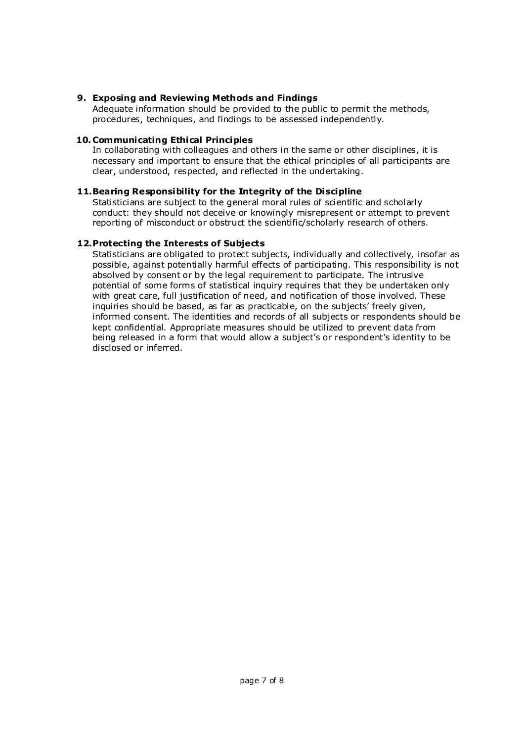#### **9. Exposing and Reviewing Methods and Findings**

Adequate information should be provided to the public to permit the methods, procedures, techniques, and findings to be assessed independently.

#### **10. Communicating Ethical Principles**

In collaborating with colleagues and others in the same or other disciplines, it is necessary and important to ensure that the ethical principles of all participants are clear, understood, respected, and reflected in the undertaking.

#### **11.Bearing Responsibility for the Integrity of the Discipline**

Statisticians are subject to the general moral rules of scientific and scholarly conduct: they should not deceive or knowingly misrepresent or attempt to prevent reporting of misconduct or obstruct the scientific/scholarly research of others.

#### **12.Protecting the Interests of Subjects**

Statisticians are obligated to protect subjects, individually and collectively, insofar as possible, against potentially harmful effects of participating. This responsibility is not absolved by consent or by the legal requirement to participate. The intrusive potential of some forms of statistical inquiry requires that they be undertaken only with great care, full justification of need, and notification of those involved. These inquiries should be based, as far as practicable, on the subjects' freely given, informed consent. The identities and records of all subjects or respondents should be kept confidential. Appropriate measures should be utilized to prevent data from being released in a form that would allow a subject's or respondent's identity to be disclosed or inferred.